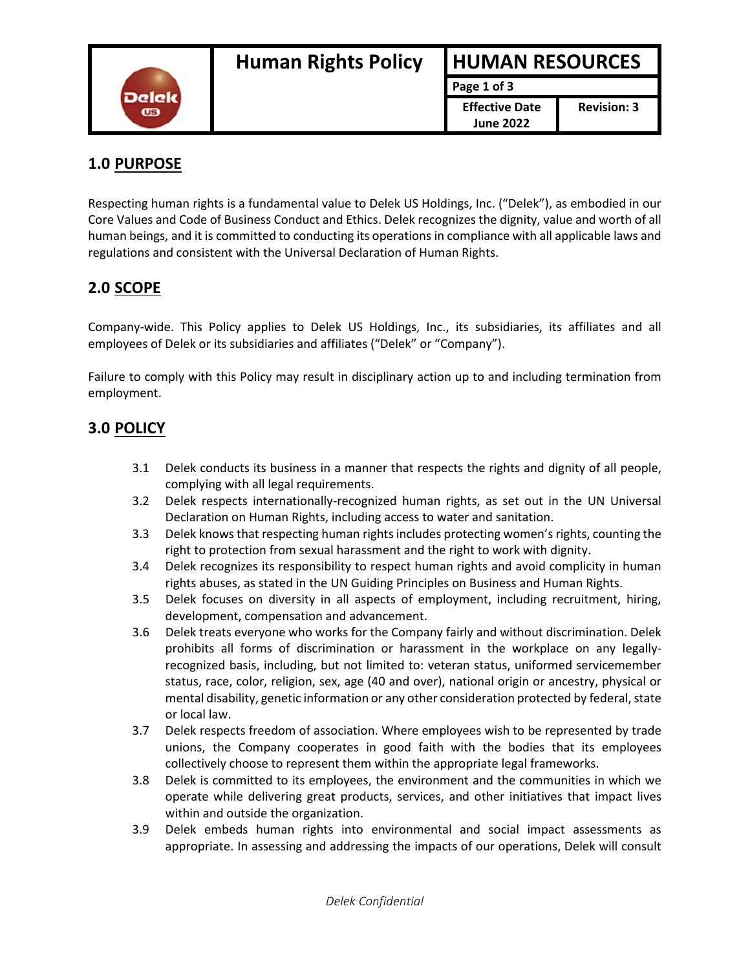

**Page 1 of 3 Effective Date June 2022**

#### **1.0 PURPOSE**

Respecting human rights is a fundamental value to Delek US Holdings, Inc. ("Delek"), as embodied in our Core Values and Code of Business Conduct and Ethics. Delek recognizes the dignity, value and worth of all human beings, and it is committed to conducting its operations in compliance with all applicable laws and regulations and consistent with the Universal Declaration of Human Rights.

### **2.0 SCOPE**

Company-wide. This Policy applies to Delek US Holdings, Inc., its subsidiaries, its affiliates and all employees of Delek or its subsidiaries and affiliates ("Delek" or "Company").

Failure to comply with this Policy may result in disciplinary action up to and including termination from employment.

#### **3.0 POLICY**

- 3.1 Delek conducts its business in a manner that respects the rights and dignity of all people, complying with all legal requirements.
- 3.2 Delek respects internationally-recognized human rights, as set out in the UN Universal Declaration on Human Rights, including access to water and sanitation.
- 3.3 Delek knows that respecting human rights includes protecting women's rights, counting the right to protection from sexual harassment and the right to work with dignity.
- 3.4 Delek recognizes its responsibility to respect human rights and avoid complicity in human rights abuses, as stated in the UN Guiding Principles on Business and Human Rights.
- 3.5 Delek focuses on diversity in all aspects of employment, including recruitment, hiring, development, compensation and advancement.
- 3.6 Delek treats everyone who works for the Company fairly and without discrimination. Delek prohibits all forms of discrimination or harassment in the workplace on any legallyrecognized basis, including, but not limited to: veteran status, uniformed servicemember status, race, color, religion, sex, age (40 and over), national origin or ancestry, physical or mental disability, genetic information or any other consideration protected by federal, state or local law.
- 3.7 Delek respects freedom of association. Where employees wish to be represented by trade unions, the Company cooperates in good faith with the bodies that its employees collectively choose to represent them within the appropriate legal frameworks.
- 3.8 Delek is committed to its employees, the environment and the communities in which we operate while delivering great products, services, and other initiatives that impact lives within and outside the organization.
- 3.9 Delek embeds human rights into environmental and social impact assessments as appropriate. In assessing and addressing the impacts of our operations, Delek will consult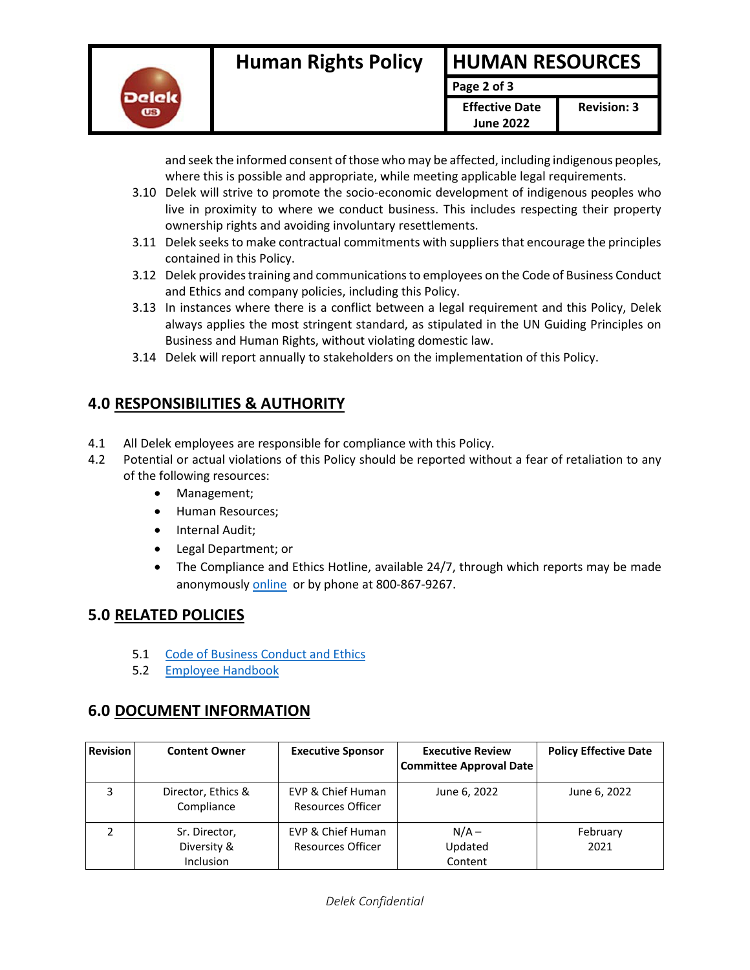

**Page 2 of 3**

**Effective Date June 2022**

and seek the informed consent of those who may be affected, including indigenous peoples, where this is possible and appropriate, while meeting applicable legal requirements.

- 3.10 Delek will strive to promote the socio-economic development of indigenous peoples who live in proximity to where we conduct business. This includes respecting their property ownership rights and avoiding involuntary resettlements.
- 3.11 Delek seeks to make contractual commitments with suppliers that encourage the principles contained in this Policy.
- 3.12 Delek provides training and communications to employees on the Code of Business Conduct and Ethics and company policies, including this Policy.
- 3.13 In instances where there is a conflict between a legal requirement and this Policy, Delek always applies the most stringent standard, as stipulated in the UN Guiding Principles on Business and Human Rights, without violating domestic law.
- 3.14 Delek will report annually to stakeholders on the implementation of this Policy.

## **4.0 RESPONSIBILITIES & AUTHORITY**

- 4.1 All Delek employees are responsible for compliance with this Policy.
- 4.2 Potential or actual violations of this Policy should be reported without a fear of retaliation to any of the following resources:
	- Management;
	- Human Resources;
	- Internal Audit;
	- Legal Department; or
	- The Compliance and Ethics Hotline, available 24/7, through which reports may be made anonymously [online](https://delekus.ethicspoint.com/) or by phone at 800-867-9267.

# **5.0 RELATED POLICIES**

- 5.1 [Code of Business Conduct and Ethics](https://delekus.sharepoint.com/sites/IMS/CIMS/7.2.1%20DK%20Code%20of%20Business%20Conduct%20and%20Ethics.pdf)
- 5.2 [Employee Handbook](https://delekus.sharepoint.com/sites/IMS/HRMS/Delek%20Employee%20Handbook%20(March%202019).pdf)

### **6.0 DOCUMENT INFORMATION**

| <b>Revision</b> | <b>Content Owner</b>                             | <b>Executive Sponsor</b>                      | <b>Executive Review</b><br><b>Committee Approval Date</b> | <b>Policy Effective Date</b> |
|-----------------|--------------------------------------------------|-----------------------------------------------|-----------------------------------------------------------|------------------------------|
| 3               | Director, Ethics &<br>Compliance                 | EVP & Chief Human<br><b>Resources Officer</b> | June 6, 2022                                              | June 6, 2022                 |
|                 | Sr. Director,<br>Diversity &<br><b>Inclusion</b> | EVP & Chief Human<br><b>Resources Officer</b> | $N/A -$<br>Updated<br>Content                             | February<br>2021             |